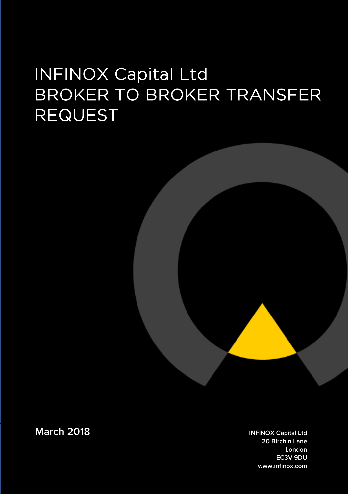## INFINOX Capital Ltd BROKER TO BROKER TRANSFER REQUEST

**20 Birchin Lane London EC3V 9DU [www.infinox.com](http://www.infinox.com/)**

**March 2018 IMAGE 2018 INFINOX Capital Ltd**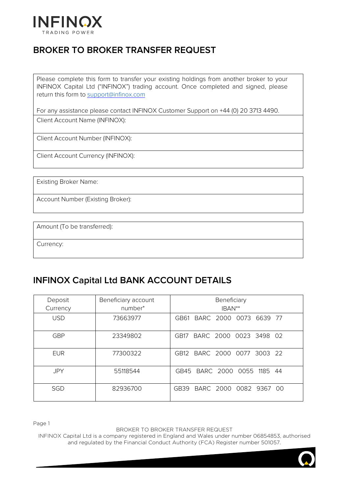

## **BROKER TO BROKER TRANSFER REQUEST**

Please complete this form to transfer your existing holdings from another broker to your INFINOX Capital Ltd ("INFINOX") trading account. Once completed and signed, please return this form to support@infinox.com

For any assistance please contact INFINOX Customer Support on +44 (0) 20 3713 4490. Client Account Name (INFINOX):

Client Account Number (INFINOX):

Client Account Currency (INFINOX):

Existing Broker Name:

Account Number (Existing Broker):

Amount (To be transferred):

Currency:

## **INFINOX Capital Ltd BANK ACCOUNT DETAILS**

| Deposit<br>Currency | Beneficiary account<br>number* | Beneficiary<br>IBAN**          |
|---------------------|--------------------------------|--------------------------------|
| <b>USD</b>          | 73663977                       | GB61<br>BARC 2000 0073 6639 77 |
| <b>GBP</b>          | 23349802                       | GB17<br>BARC 2000 0023 3498 02 |
| <b>EUR</b>          | 77300322                       | GB12 BARC 2000 0077 3003 22    |
| <b>JPY</b>          | 55118544                       | GB45 BARC 2000 0055 1185 44    |
| <b>SGD</b>          | 82936700                       | GB39 BARC 2000 0082 9367 00    |

Page 1

BROKER TO BROKER TRANSFER REQUEST

INFINOX Capital Ltd is a company registered in England and Wales under number 06854853, authorised and regulated by the Financial Conduct Authority (FCA) Register number 501057.